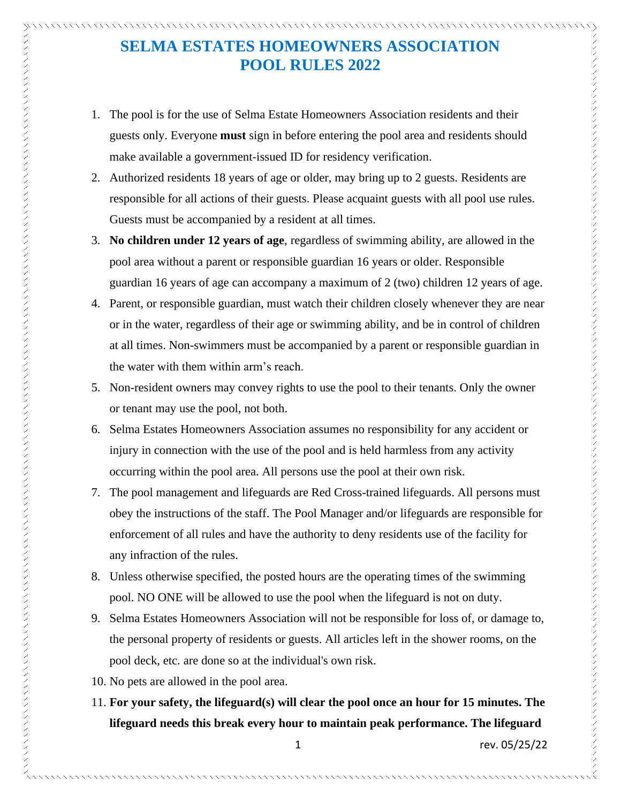## **SELMA ESTATES HOMEOWNERS ASSOCIATION POOL RULES 2022**

- 1. The pool is for the use of Selma Estate Homeowners Association residents and their guests only. Everyone **must** sign in before entering the pool area and residents should make available a government-issued ID for residency verification.
- 2. Authorized residents 18 years of age or older, may bring up to 2 guests. Residents are responsible for all actions of their guests. Please acquaint guests with all pool use rules. Guests must be accompanied by a resident at all times.
- 3. **No children under 12 years of age**, regardless of swimming ability, are allowed in the pool area without a parent or responsible guardian 16 years or older. Responsible guardian 16 years of age can accompany a maximum of 2 (two) children 12 years of age.
- 4. Parent, or responsible guardian, must watch their children closely whenever they are near or in the water, regardless of their age or swimming ability, and be in control of children at all times. Non-swimmers must be accompanied by a parent or responsible guardian in the water with them within arm's reach.
- 5. Non-resident owners may convey rights to use the pool to their tenants. Only the owner or tenant may use the pool, not both.
- 6. Selma Estates Homeowners Association assumes no responsibility for any accident or injury in connection with the use of the pool and is held harmless from any activity occurring within the pool area. All persons use the pool at their own risk.
- 7. The pool management and lifeguards are Red Cross-trained lifeguards. All persons must obey the instructions of the staff. The Pool Manager and/or lifeguards are responsible for enforcement of all rules and have the authority to deny residents use of the facility for any infraction of the rules.
- 8. Unless otherwise specified, the posted hours are the operating times of the swimming pool. NO ONE will be allowed to use the pool when the lifeguard is not on duty.
- 9. Selma Estates Homeowners Association will not be responsible for loss of, or damage to, the personal property of residents or guests. All articles left in the shower rooms, on the pool deck, etc. are done so at the individual's own risk.
- 10. No pets are allowed in the pool area.
- 11. **For your safety, the lifeguard(s) will clear the pool once an hour for 15 minutes. The lifeguard needs this break every hour to maintain peak performance. The lifeguard**

1 rev. 05/25/22

フラフファインファンシングラファンシングラファンシングラファンシングラファンシングラファンシングラファンシングラファンシングラファンシングラファンシングラファンシングラファンシングラファンシングラファ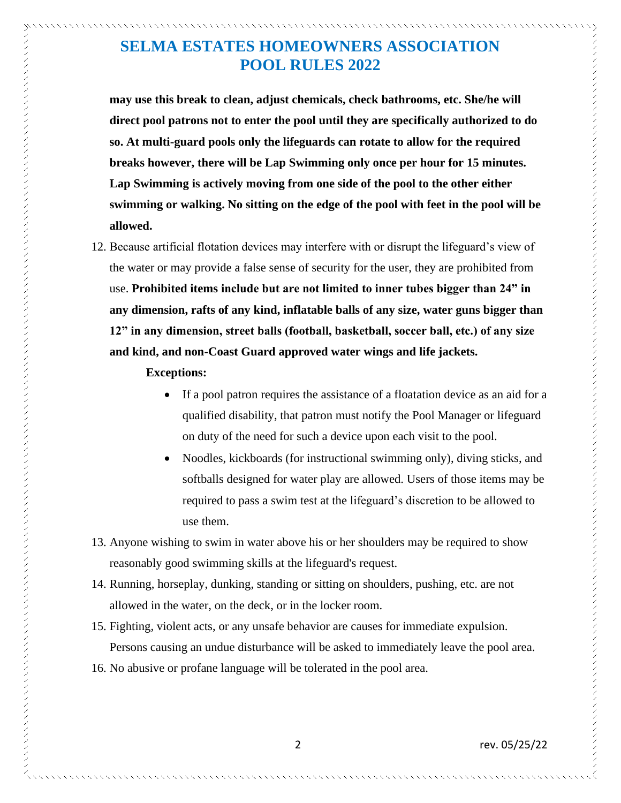## **SELMA ESTATES HOMEOWNERS ASSOCIATION POOL RULES 2022**

**may use this break to clean, adjust chemicals, check bathrooms, etc. She/he will direct pool patrons not to enter the pool until they are specifically authorized to do so. At multi-guard pools only the lifeguards can rotate to allow for the required breaks however, there will be Lap Swimming only once per hour for 15 minutes. Lap Swimming is actively moving from one side of the pool to the other either swimming or walking. No sitting on the edge of the pool with feet in the pool will be allowed.** 

12. Because artificial flotation devices may interfere with or disrupt the lifeguard's view of the water or may provide a false sense of security for the user, they are prohibited from use. **Prohibited items include but are not limited to inner tubes bigger than 24" in any dimension, rafts of any kind, inflatable balls of any size, water guns bigger than 12" in any dimension, street balls (football, basketball, soccer ball, etc.) of any size and kind, and non-Coast Guard approved water wings and life jackets.** 

## **Exceptions:**

- If a pool patron requires the assistance of a floatation device as an aid for a qualified disability, that patron must notify the Pool Manager or lifeguard on duty of the need for such a device upon each visit to the pool.
- Noodles, kickboards (for instructional swimming only), diving sticks, and softballs designed for water play are allowed. Users of those items may be required to pass a swim test at the lifeguard's discretion to be allowed to use them.
- 13. Anyone wishing to swim in water above his or her shoulders may be required to show reasonably good swimming skills at the lifeguard's request.
- 14. Running, horseplay, dunking, standing or sitting on shoulders, pushing, etc. are not allowed in the water, on the deck, or in the locker room.
- 15. Fighting, violent acts, or any unsafe behavior are causes for immediate expulsion. Persons causing an undue disturbance will be asked to immediately leave the pool area.
- 16. No abusive or profane language will be tolerated in the pool area.